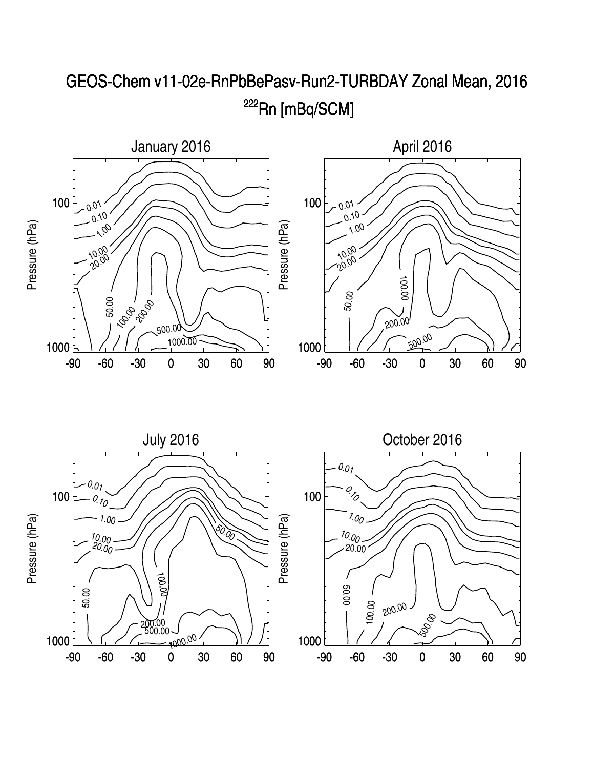

## GEOS-Chem v11-02e-RnPbBePasv-Run2-TURBDAY Zonal Mean, 2016 <sup>222</sup>Rn [mBq/SCM]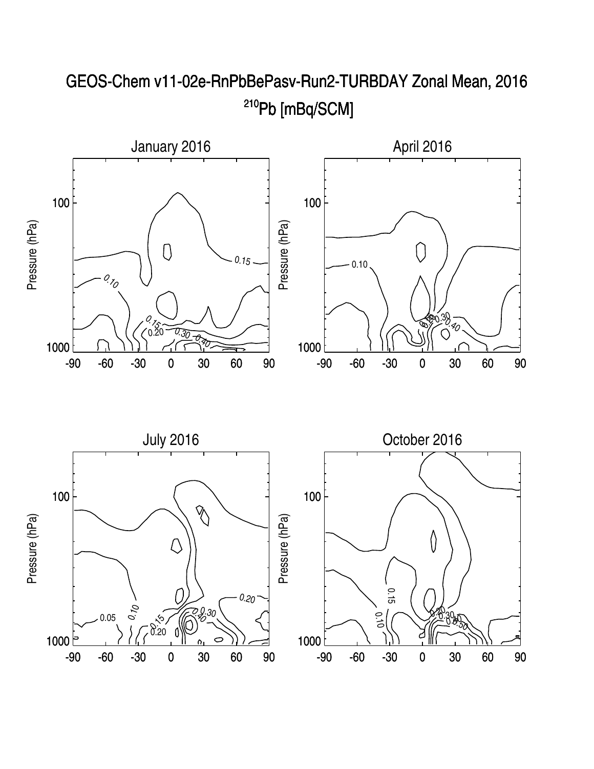

## GEOS-Chem v11-02e-RnPbBePasv-Run2-TURBDAY Zonal Mean, 2016 <sup>210</sup>Pb [mBq/SCM]